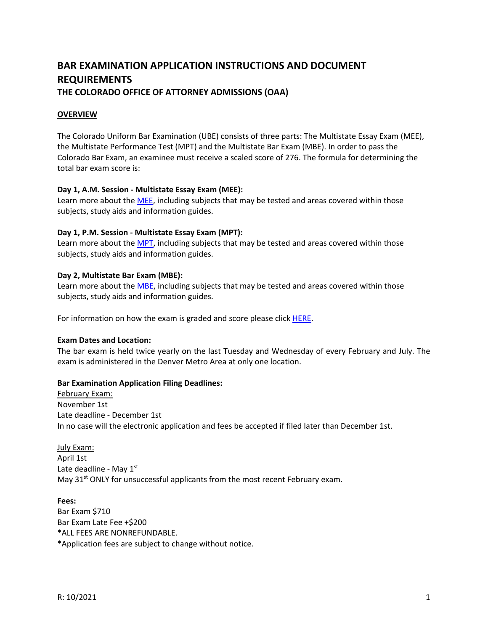# **BAR EXAMINATION APPLICATION INSTRUCTIONS AND DOCUMENT REQUIREMENTS THE COLORADO OFFICE OF ATTORNEY ADMISSIONS (OAA)**

#### **OVERVIEW**

The Colorado Uniform Bar Examination (UBE) consists of three parts: The Multistate Essay Exam (MEE), the Multistate Performance Test (MPT) and the Multistate Bar Exam (MBE). In order to pass the Colorado Bar Exam, an examinee must receive a scaled score of 276. The formula for determining the total bar exam score is:

#### **Day 1, A.M. Session ‐ Multistate Essay Exam (MEE):**

Learn more about the [MEE](https://ncbex.org/exams/mee/), including subjects that may be tested and areas covered within those subjects, study aids and information guides.

#### **Day 1, P.M. Session ‐ Multistate Essay Exam (MPT):**

Learn more about the [MPT](https://ncbex.org/exams/mpt/), including subjects that may be tested and areas covered within those subjects, study aids and information guides.

#### **Day 2, Multistate Bar Exam (MBE):**

Learn more about the [MBE,](https://ncbex.org/exams/mbe/) including subjects that may be tested and areas covered within those subjects, study aids and information guides.

For information on how the exam is graded and score please click [HERE.](https://www.coloradosupremecourt.com/Future%20Lawyers/HolisticGrading.asp)

#### **Exam Dates and Location:**

The bar exam is held twice yearly on the last Tuesday and Wednesday of every February and July. The exam is administered in the Denver Metro Area at only one location.

#### **Bar Examination Application Filing Deadlines:**

February Exam: November 1st Late deadline ‐ December 1st In no case will the electronic application and fees be accepted if filed later than December 1st.

July Exam: April 1st Late deadline - May 1st May  $31^{st}$  ONLY for unsuccessful applicants from the most recent February exam.

#### **Fees:**

Bar Exam \$710 Bar Exam Late Fee +\$200 \*ALL FEES ARE NONREFUNDABLE. \*Application fees are subject to change without notice.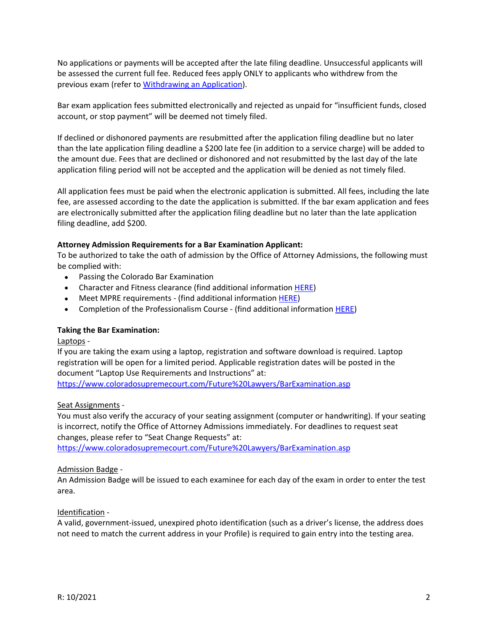No applications or payments will be accepted after the late filing deadline. Unsuccessful applicants will be assessed the current full fee. Reduced fees apply ONLY to applicants who withdrew from the previous exam (refer to [Withdrawing an Application](https://www.coloradosupremecourt.com/Future%20Lawyers/WithdrawApplication.asp)).

Bar exam application fees submitted electronically and rejected as unpaid for "insufficient funds, closed account, or stop payment" will be deemed not timely filed.

If declined or dishonored payments are resubmitted after the application filing deadline but no later than the late application filing deadline a \$200 late fee (in addition to a service charge) will be added to the amount due. Fees that are declined or dishonored and not resubmitted by the last day of the late application filing period will not be accepted and the application will be denied as not timely filed.

All application fees must be paid when the electronic application is submitted. All fees, including the late fee, are assessed according to the date the application is submitted. If the bar exam application and fees are electronically submitted after the application filing deadline but no later than the late application filing deadline, add \$200.

# **Attorney Admission Requirements for a Bar Examination Applicant:**

To be authorized to take the oath of admission by the Office of Attorney Admissions, the following must be complied with:

- Passing the Colorado Bar Examination
- Character and Fitness clearance (find additional information [HERE](https://www.coloradosupremecourt.com/Future%20Lawyers/CharacterAndFitness.asp))
- Meet MPRE requirements (find additional information [HERE](https://www.coloradosupremecourt.com/Future%20Lawyers/MPRE.asp))
- Completion of the Professionalism Course ‐ (find additional information [HERE\)](https://www.coloradosupremecourt.com/Current%20Lawyers/PracticeProfessionalismCourse.asp)

#### **Taking the Bar Examination:**

#### Laptops ‐

If you are taking the exam using a laptop, registration and software download is required. Laptop registration will be open for a limited period. Applicable registration dates will be posted in the document "Laptop Use Requirements and Instructions" at:

https://www.coloradosupremecourt.com/Future%20Lawyers/BarExamination.asp

#### Seat Assignments ‐

You must also verify the accuracy of your seating assignment (computer or handwriting). If your seating is incorrect, notify the Office of Attorney Admissions immediately. For deadlines to request seat changes, please refer to "Seat Change Requests" at:

https://www.coloradosupremecourt.com/Future%20Lawyers/BarExamination.asp

#### Admission Badge ‐

An Admission Badge will be issued to each examinee for each day of the exam in order to enter the test area.

#### Identification ‐

A valid, government‐issued, unexpired photo identification (such as a driver's license, the address does not need to match the current address in your Profile) is required to gain entry into the testing area.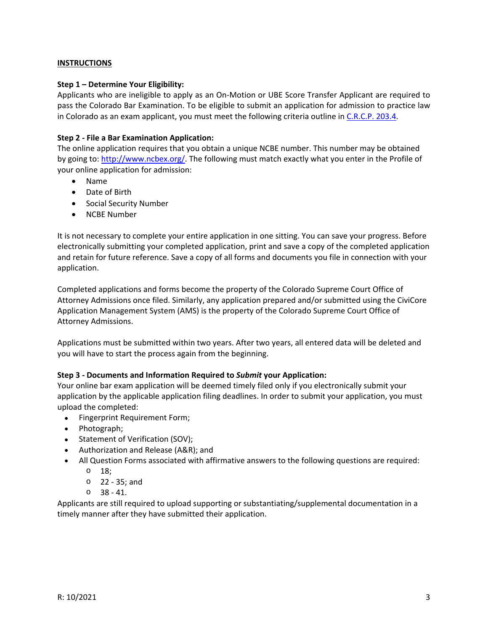### **INSTRUCTIONS**

#### **Step 1 – Determine Your Eligibility:**

Applicants who are ineligible to apply as an On‐Motion or UBE Score Transfer Applicant are required to pass the Colorado Bar Examination. To be eligible to submit an application for admission to practice law in Colorado as an exam applicant, you must meet the following criteria outline in [C.R.C.P. 203.4](https://www.coloradosupremecourt.com/Future%20Lawyers/RulesGoverningAdmissions.asp).

### **Step 2 ‐ File a Bar Examination Application:**

The online application requires that you obtain a unique NCBE number. This number may be obtained by going to: http://www.ncbex.org/. The following must match exactly what you enter in the Profile of your online application for admission:

- Name
- Date of Birth
- Social Security Number
- NCBE Number

It is not necessary to complete your entire application in one sitting. You can save your progress. Before electronically submitting your completed application, print and save a copy of the completed application and retain for future reference. Save a copy of all forms and documents you file in connection with your application.

Completed applications and forms become the property of the Colorado Supreme Court Office of Attorney Admissions once filed. Similarly, any application prepared and/or submitted using the CiviCore Application Management System (AMS) is the property of the Colorado Supreme Court Office of Attorney Admissions.

Applications must be submitted within two years. After two years, all entered data will be deleted and you will have to start the process again from the beginning.

# **Step 3 ‐ Documents and Information Required to** *Submit* **your Application:**

Your online bar exam application will be deemed timely filed only if you electronically submit your application by the applicable application filing deadlines. In order to submit your application, you must upload the completed:

- Fingerprint Requirement Form;
- Photograph;
- Statement of Verification (SOV);
- Authorization and Release (A&R); and
- All Question Forms associated with affirmative answers to the following questions are required:
	- o 18;
	- o 22 ‐ 35; and
	- $0 \quad 38 41$ .

Applicants are still required to upload supporting or substantiating/supplemental documentation in a timely manner after they have submitted their application.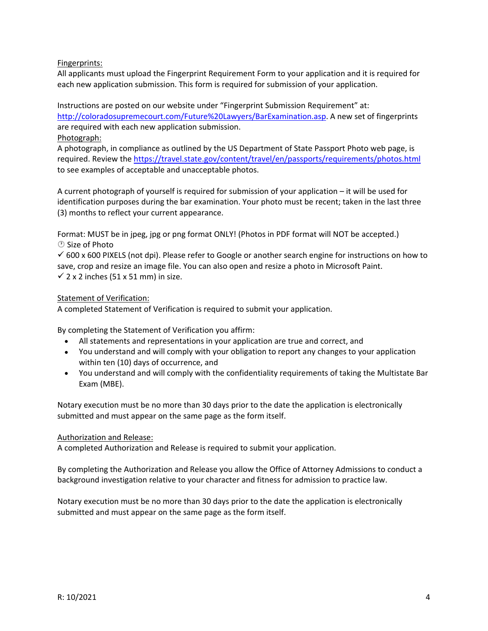Fingerprints:

All applicants must upload the Fingerprint Requirement Form to your application and it is required for each new application submission. This form is required for submission of your application.

Instructions are posted on our website under "Fingerprint Submission Requirement" at: http://coloradosupremecourt.com/Future%20Lawyers/BarExamination.asp. A new set of fingerprints are required with each new application submission.

Photograph:

A photograph, in compliance as outlined by the US Department of State Passport Photo web page, is required. Review the https://travel.state.gov/content/travel/en/passports/requirements/photos.html to see examples of acceptable and unacceptable photos.

A current photograph of yourself is required for submission of your application – it will be used for identification purposes during the bar examination. Your photo must be recent; taken in the last three (3) months to reflect your current appearance.

Format: MUST be in jpeg, jpg or png format ONLY! (Photos in PDF format will NOT be accepted.) Size of Photo

 $600 \times 600$  PIXELS (not dpi). Please refer to Google or another search engine for instructions on how to save, crop and resize an image file. You can also open and resize a photo in Microsoft Paint.

 $\checkmark$  2 x 2 inches (51 x 51 mm) in size.

# Statement of Verification:

A completed Statement of Verification is required to submit your application.

By completing the Statement of Verification you affirm:

- All statements and representations in your application are true and correct, and
- You understand and will comply with your obligation to report any changes to your application within ten (10) days of occurrence, and
- You understand and will comply with the confidentiality requirements of taking the Multistate Bar Exam (MBE).

Notary execution must be no more than 30 days prior to the date the application is electronically submitted and must appear on the same page as the form itself.

# Authorization and Release:

A completed Authorization and Release is required to submit your application.

By completing the Authorization and Release you allow the Office of Attorney Admissions to conduct a background investigation relative to your character and fitness for admission to practice law.

Notary execution must be no more than 30 days prior to the date the application is electronically submitted and must appear on the same page as the form itself.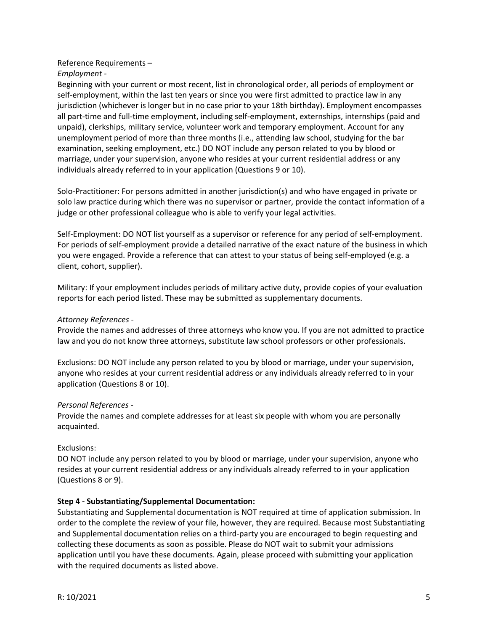### Reference Requirements –

### *Employment ‐*

Beginning with your current or most recent, list in chronological order, all periods of employment or self-employment, within the last ten years or since you were first admitted to practice law in any jurisdiction (whichever is longer but in no case prior to your 18th birthday). Employment encompasses all part-time and full-time employment, including self-employment, externships, internships (paid and unpaid), clerkships, military service, volunteer work and temporary employment. Account for any unemployment period of more than three months (i.e., attending law school, studying for the bar examination, seeking employment, etc.) DO NOT include any person related to you by blood or marriage, under your supervision, anyone who resides at your current residential address or any individuals already referred to in your application (Questions 9 or 10).

Solo-Practitioner: For persons admitted in another jurisdiction(s) and who have engaged in private or solo law practice during which there was no supervisor or partner, provide the contact information of a judge or other professional colleague who is able to verify your legal activities.

Self-Employment: DO NOT list yourself as a supervisor or reference for any period of self-employment. For periods of self-employment provide a detailed narrative of the exact nature of the business in which you were engaged. Provide a reference that can attest to your status of being self‐employed (e.g. a client, cohort, supplier).

Military: If your employment includes periods of military active duty, provide copies of your evaluation reports for each period listed. These may be submitted as supplementary documents.

### *Attorney References ‐*

Provide the names and addresses of three attorneys who know you. If you are not admitted to practice law and you do not know three attorneys, substitute law school professors or other professionals.

Exclusions: DO NOT include any person related to you by blood or marriage, under your supervision, anyone who resides at your current residential address or any individuals already referred to in your application (Questions 8 or 10).

#### *Personal References ‐*

Provide the names and complete addresses for at least six people with whom you are personally acquainted.

#### Exclusions:

DO NOT include any person related to you by blood or marriage, under your supervision, anyone who resides at your current residential address or any individuals already referred to in your application (Questions 8 or 9).

#### **Step 4 ‐ Substantiating/Supplemental Documentation:**

Substantiating and Supplemental documentation is NOT required at time of application submission. In order to the complete the review of your file, however, they are required. Because most Substantiating and Supplemental documentation relies on a third‐party you are encouraged to begin requesting and collecting these documents as soon as possible. Please do NOT wait to submit your admissions application until you have these documents. Again, please proceed with submitting your application with the required documents as listed above.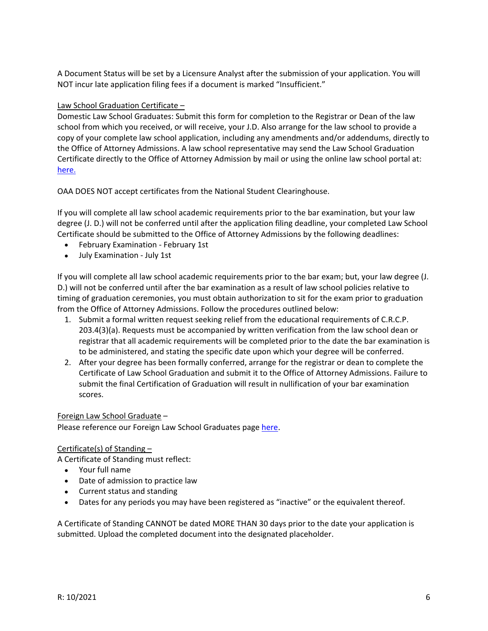A Document Status will be set by a Licensure Analyst after the submission of your application. You will NOT incur late application filing fees if a document is marked "Insufficient."

# Law School Graduation Certificate –

Domestic Law School Graduates: Submit this form for completion to the Registrar or Dean of the law school from which you received, or will receive, your J.D. Also arrange for the law school to provide a copy of your complete law school application, including any amendments and/or addendums, directly to the Office of Attorney Admissions. A law school representative may send the Law School Graduation Certificate directly to the Office of Attorney Admission by mail or using the online law school portal at: [here.](https://www.cognitoforms.com/ColoradoSupremeCourtOfficeOfAttorneyRegulationCounsel/ColoradoSupremeCourtOfficeOfAttorneyAdmissionsLawSchoolDocumentSubmissionPortal)

OAA DOES NOT accept certificates from the National Student Clearinghouse.

If you will complete all law school academic requirements prior to the bar examination, but your law degree (J. D.) will not be conferred until after the application filing deadline, your completed Law School Certificate should be submitted to the Office of Attorney Admissions by the following deadlines:

- February Examination ‐ February 1st
- July Examination July 1st

If you will complete all law school academic requirements prior to the bar exam; but, your law degree (J. D.) will not be conferred until after the bar examination as a result of law school policies relative to timing of graduation ceremonies, you must obtain authorization to sit for the exam prior to graduation from the Office of Attorney Admissions. Follow the procedures outlined below:

- 1. Submit a formal written request seeking relief from the educational requirements of C.R.C.P. 203.4(3)(a). Requests must be accompanied by written verification from the law school dean or registrar that all academic requirements will be completed prior to the date the bar examination is to be administered, and stating the specific date upon which your degree will be conferred.
- 2. After your degree has been formally conferred, arrange for the registrar or dean to complete the Certificate of Law School Graduation and submit it to the Office of Attorney Admissions. Failure to submit the final Certification of Graduation will result in nullification of your bar examination scores.

# Foreign Law School Graduate –

Please reference our Foreign Law School Graduates page [here](https://www.coloradosupremecourt.com/PDF/BLE/Foreign%20Law%20School%20Graduates.pdf).

# Certificate(s) of Standing –

A Certificate of Standing must reflect:

- Your full name
- Date of admission to practice law
- Current status and standing
- Dates for any periods you may have been registered as "inactive" or the equivalent thereof.

A Certificate of Standing CANNOT be dated MORE THAN 30 days prior to the date your application is submitted. Upload the completed document into the designated placeholder.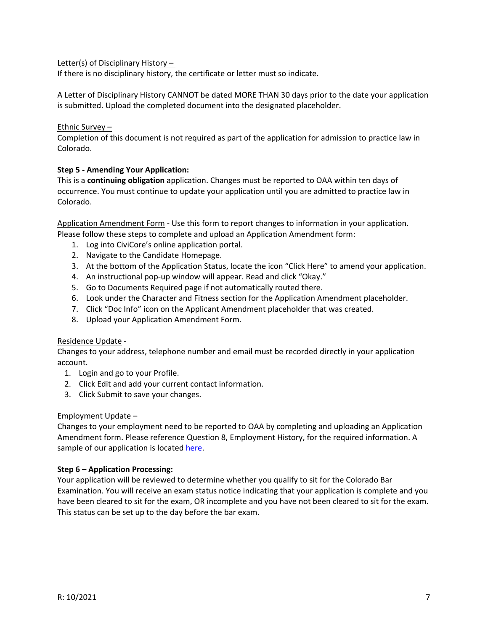# Letter(s) of Disciplinary History –

If there is no disciplinary history, the certificate or letter must so indicate.

A Letter of Disciplinary History CANNOT be dated MORE THAN 30 days prior to the date your application is submitted. Upload the completed document into the designated placeholder.

# Ethnic Survey –

Completion of this document is not required as part of the application for admission to practice law in Colorado.

# **Step 5 ‐ Amending Your Application:**

This is a **continuing obligation** application. Changes must be reported to OAA within ten days of occurrence. You must continue to update your application until you are admitted to practice law in Colorado.

Application Amendment Form ‐ Use this form to report changes to information in your application. Please follow these steps to complete and upload an Application Amendment form:

- 1. Log into CiviCore's online application portal.
- 2. Navigate to the Candidate Homepage.
- 3. At the bottom of the Application Status, locate the icon "Click Here" to amend your application.
- 4. An instructional pop-up window will appear. Read and click "Okay."
- 5. Go to Documents Required page if not automatically routed there.
- 6. Look under the Character and Fitness section for the Application Amendment placeholder.
- 7. Click "Doc Info" icon on the Applicant Amendment placeholder that was created.
- 8. Upload your Application Amendment Form.

# Residence Update ‐

Changes to your address, telephone number and email must be recorded directly in your application account.

- 1. Login and go to your Profile.
- 2. Click Edit and add your current contact information.
- 3. Click Submit to save your changes.

# Employment Update –

Changes to your employment need to be reported to OAA by completing and uploading an Application Amendment form. Please reference Question 8, Employment History, for the required information. A sample of our application is located [here.](https://www.coloradosupremecourt.com/Future%20Lawyers/ApplicationInstructions.asp)

# **Step 6 – Application Processing:**

Your application will be reviewed to determine whether you qualify to sit for the Colorado Bar Examination. You will receive an exam status notice indicating that your application is complete and you have been cleared to sit for the exam, OR incomplete and you have not been cleared to sit for the exam. This status can be set up to the day before the bar exam.